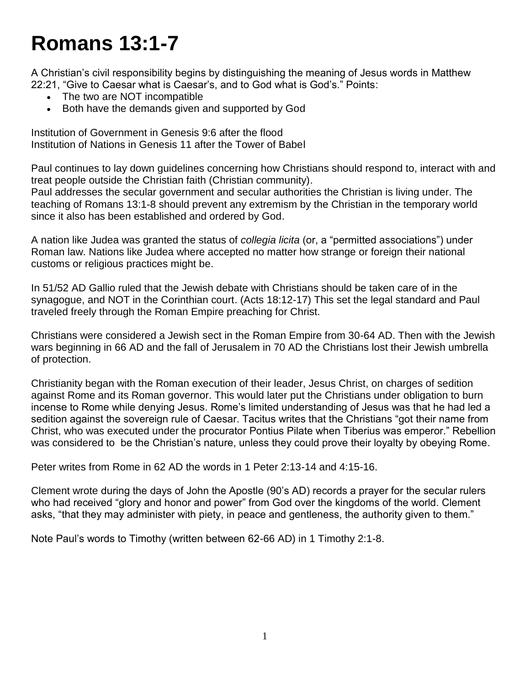## **Romans 13:1-7**

A Christian's civil responsibility begins by distinguishing the meaning of Jesus words in Matthew 22:21, "Give to Caesar what is Caesar's, and to God what is God's." Points:

- The two are NOT incompatible
- Both have the demands given and supported by God

Institution of Government in Genesis 9:6 after the flood Institution of Nations in Genesis 11 after the Tower of Babel

Paul continues to lay down guidelines concerning how Christians should respond to, interact with and treat people outside the Christian faith (Christian community).

Paul addresses the secular government and secular authorities the Christian is living under. The teaching of Romans 13:1-8 should prevent any extremism by the Christian in the temporary world since it also has been established and ordered by God.

A nation like Judea was granted the status of *collegia licita* (or, a "permitted associations") under Roman law. Nations like Judea where accepted no matter how strange or foreign their national customs or religious practices might be.

In 51/52 AD Gallio ruled that the Jewish debate with Christians should be taken care of in the synagogue, and NOT in the Corinthian court. (Acts 18:12-17) This set the legal standard and Paul traveled freely through the Roman Empire preaching for Christ.

Christians were considered a Jewish sect in the Roman Empire from 30-64 AD. Then with the Jewish wars beginning in 66 AD and the fall of Jerusalem in 70 AD the Christians lost their Jewish umbrella of protection.

Christianity began with the Roman execution of their leader, Jesus Christ, on charges of sedition against Rome and its Roman governor. This would later put the Christians under obligation to burn incense to Rome while denying Jesus. Rome's limited understanding of Jesus was that he had led a sedition against the sovereign rule of Caesar. Tacitus writes that the Christians "got their name from Christ, who was executed under the procurator Pontius Pilate when Tiberius was emperor." Rebellion was considered to be the Christian's nature, unless they could prove their loyalty by obeying Rome.

Peter writes from Rome in 62 AD the words in 1 Peter 2:13-14 and 4:15-16.

Clement wrote during the days of John the Apostle (90's AD) records a prayer for the secular rulers who had received "glory and honor and power" from God over the kingdoms of the world. Clement asks, "that they may administer with piety, in peace and gentleness, the authority given to them."

Note Paul's words to Timothy (written between 62-66 AD) in 1 Timothy 2:1-8.